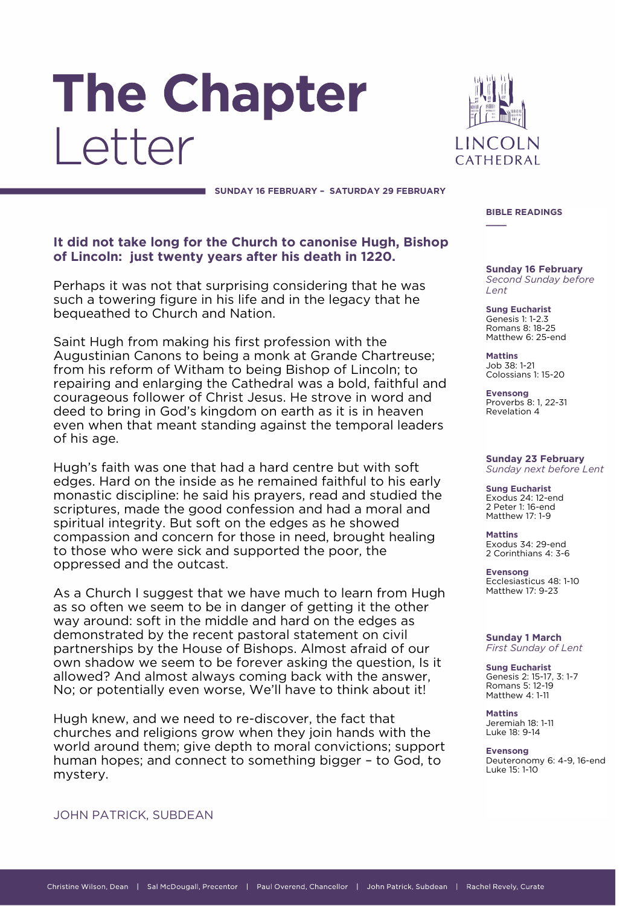# **The Chapter** Letter



**\_\_\_\_**

**SUNDAY 16 FEBRUARY – SATURDAY 29 FEBRUARY**

# **It did not take long for the Church to canonise Hugh, Bishop of Lincoln: just twenty years after his death in 1220.**

Perhaps it was not that surprising considering that he was such a towering figure in his life and in the legacy that he bequeathed to Church and Nation.

Saint Hugh from making his first profession with the Augustinian Canons to being a monk at Grande Chartreuse; from his reform of Witham to being Bishop of Lincoln; to repairing and enlarging the Cathedral was a bold, faithful and courageous follower of Christ Jesus. He strove in word and deed to bring in God's kingdom on earth as it is in heaven even when that meant standing against the temporal leaders of his age.

Hugh's faith was one that had a hard centre but with soft edges. Hard on the inside as he remained faithful to his early monastic discipline: he said his prayers, read and studied the scriptures, made the good confession and had a moral and spiritual integrity. But soft on the edges as he showed compassion and concern for those in need, brought healing to those who were sick and supported the poor, the oppressed and the outcast.

As a Church I suggest that we have much to learn from Hugh as so often we seem to be in danger of getting it the other way around: soft in the middle and hard on the edges as demonstrated by the recent pastoral statement on civil partnerships by the House of Bishops. Almost afraid of our own shadow we seem to be forever asking the question, Is it allowed? And almost always coming back with the answer, No; or potentially even worse, We'll have to think about it!

Hugh knew, and we need to re-discover, the fact that churches and religions grow when they join hands with the world around them; give depth to moral convictions; support human hopes; and connect to something bigger – to God, to mystery.

**BIBLE READINGS**

**Sunday 16 February** *Second Sunday before Lent*

**Sung Eucharist** Genesis 1: 1-2.3 Romans 8: 18-25 Matthew 6: 25-end

**Mattins** Job 38: 1-21 Colossians 1: 15-20

**Evensong** Proverbs 8: 1, 22-31 Revelation 4

#### **Sunday 23 February** *Sunday next before Lent*

**Sung Eucharist** Exodus 24: 12-end 2 Peter 1: 16-end Matthew 17: 1-9

**Mattins** Exodus 34: 29-end 2 Corinthians 4: 3-6

**Evensong** Ecclesiasticus 48: 1-10 Matthew 17: 9-23

#### **Sunday 1 March** *First Sunday of Lent*

**Sung Eucharist** Genesis 2: 15-17, 3: 1-7 Romans 5: 12-19 Matthew 4: 1-11

**Mattins** Jeremiah 18: 1-11 Luke 18: 9-14

**Evensong** Deuteronomy 6: 4-9, 16-end Luke 15: 1-10

# JOHN PATRICK, SUBDEAN